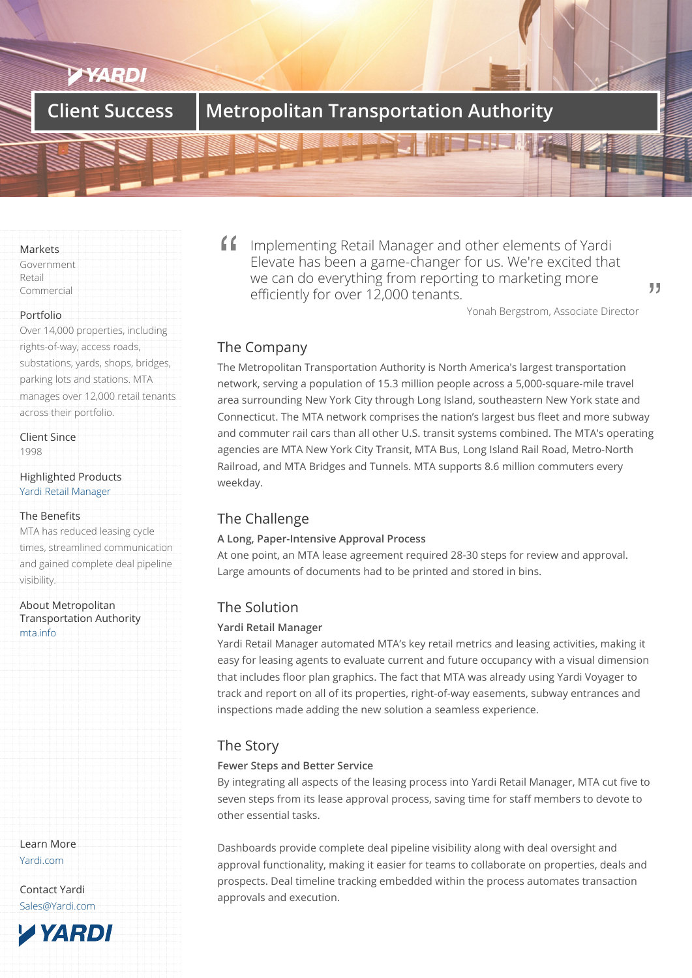# **Client Success Metropolitan Transportation Authority**

#### Markets

Government Retail Commercial

#### Portfolio

Over 14,000 properties, including rights-of-way, access roads, substations, yards, shops, bridges, parking lots and stations. MTA manages over 12,000 retail tenants across their portfolio.

Client Since

1998

### Highlighted Products Yardi Retail Manager

## The Benefits

MTA has reduced leasing cycle [times, streamlined co](/products/retail-manager)mmunication and gained complete deal pipeline visibility.

About Metropolitan Transportation Authority mta.info

Learn More Yardi.com

Contact Yardi Sales@Yardi.com Implementing Retail Manager and other elements of Yardi Elevate has been a game-changer for us. We're excited that we can do everything from reporting to marketing more efficiently for over 12,000 tenants.

Yonah Bergstrom, Associate Director

# The Company

The Metropolitan Transportation Authority is North America's largest transportation network, serving a population of 15.3 million people across a 5,000-square-mile travel area surrounding New York City through Long Island, southeastern New York state and Connecticut. The MTA network comprises the nation's largest bus fleet and more subway and commuter rail cars than all other U.S. transit systems combined. The MTA's operating agencies are MTA New York City Transit, MTA Bus, Long Island Rail Road, Metro-North Railroad, and MTA Bridges and Tunnels. MTA supports 8.6 million commuters every weekday.

## The Challenge

## **A Long, Paper-Intensive Approval Process**

At one point, an MTA lease agreement required 28-30 steps for review and approval. Large amounts of documents had to be printed and stored in bins.

## The Solution

## **Yardi Retail Manager**

Yardi Retail Manager automated MTA's key retail metrics and leasing activities, making it easy for leasing agents to evaluate current and future occupancy with a visual dimension that includes floor plan graphics. The fact that MTA was already using Yardi Voyager to track and report on all of its properties, right-of-way easements, subway entrances and inspections made adding the new solution a seamless experience.

# The Story

## **Fewer Steps and Better Service**

By integrating all aspects of the leasing process into Yardi Retail Manager, MTA cut five to seven steps from its lease approval process, saving time for staff members to devote to other essential tasks.

Dashboards provide complete deal pipeline visibility along with deal oversight and approval functionality, making it easier for teams to collaborate on properties, deals and prospects. Deal timeline tracking embedded within the process automates transaction approvals and execution.

99